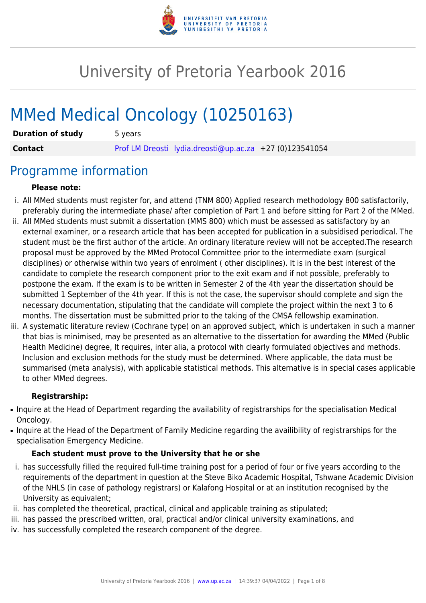

# University of Pretoria Yearbook 2016

# MMed Medical Oncology (10250163)

| <b>Duration of study</b> | 5 years |                                                         |  |
|--------------------------|---------|---------------------------------------------------------|--|
| <b>Contact</b>           |         | Prof LM Dreosti lydia.dreosti@up.ac.za +27 (0)123541054 |  |

### Programme information

#### **Please note:**

- i. All MMed students must register for, and attend (TNM 800) Applied research methodology 800 satisfactorily, preferably during the intermediate phase/ after completion of Part 1 and before sitting for Part 2 of the MMed.
- ii. All MMed students must submit a dissertation (MMS 800) which must be assessed as satisfactory by an external examiner, or a research article that has been accepted for publication in a subsidised periodical. The student must be the first author of the article. An ordinary literature review will not be accepted.The research proposal must be approved by the MMed Protocol Committee prior to the intermediate exam (surgical disciplines) or otherwise within two years of enrolment ( other disciplines). It is in the best interest of the candidate to complete the research component prior to the exit exam and if not possible, preferably to postpone the exam. If the exam is to be written in Semester 2 of the 4th year the dissertation should be submitted 1 September of the 4th year. If this is not the case, the supervisor should complete and sign the necessary documentation, stipulating that the candidate will complete the project within the next 3 to 6 months. The dissertation must be submitted prior to the taking of the CMSA fellowship examination.
- iii. A systematic literature review (Cochrane type) on an approved subject, which is undertaken in such a manner that bias is minimised, may be presented as an alternative to the dissertation for awarding the MMed (Public Health Medicine) degree, It requires, inter alia, a protocol with clearly formulated objectives and methods. Inclusion and exclusion methods for the study must be determined. Where applicable, the data must be summarised (meta analysis), with applicable statistical methods. This alternative is in special cases applicable to other MMed degrees.

#### **Registrarship:**

- Inquire at the Head of Department regarding the availability of registrarships for the specialisation Medical Oncology.
- Inquire at the Head of the Department of Family Medicine regarding the availibility of registrarships for the specialisation Emergency Medicine.

#### **Each student must prove to the University that he or she**

- i. has successfully filled the required full-time training post for a period of four or five years according to the requirements of the department in question at the Steve Biko Academic Hospital, Tshwane Academic Division of the NHLS (in case of pathology registrars) or Kalafong Hospital or at an institution recognised by the University as equivalent;
- ii. has completed the theoretical, practical, clinical and applicable training as stipulated;
- iii. has passed the prescribed written, oral, practical and/or clinical university examinations, and
- iv. has successfully completed the research component of the degree.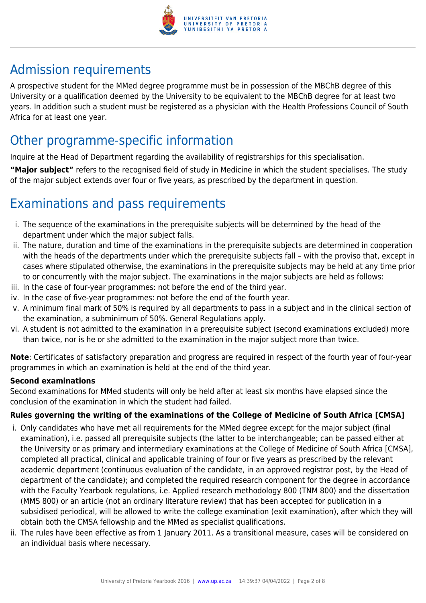

# Admission requirements

A prospective student for the MMed degree programme must be in possession of the MBChB degree of this University or a qualification deemed by the University to be equivalent to the MBChB degree for at least two years. In addition such a student must be registered as a physician with the Health Professions Council of South Africa for at least one year.

# Other programme-specific information

Inquire at the Head of Department regarding the availability of registrarships for this specialisation.

**"Major subject"** refers to the recognised field of study in Medicine in which the student specialises. The study of the major subject extends over four or five years, as prescribed by the department in question.

# Examinations and pass requirements

- i. The sequence of the examinations in the prerequisite subjects will be determined by the head of the department under which the major subject falls.
- ii. The nature, duration and time of the examinations in the prerequisite subjects are determined in cooperation with the heads of the departments under which the prerequisite subjects fall – with the proviso that, except in cases where stipulated otherwise, the examinations in the prerequisite subjects may be held at any time prior to or concurrently with the major subject. The examinations in the major subjects are held as follows:
- iii. In the case of four-year programmes: not before the end of the third year.
- iv. In the case of five-year programmes: not before the end of the fourth year.
- v. A minimum final mark of 50% is required by all departments to pass in a subject and in the clinical section of the examination, a subminimum of 50%. General Regulations apply.
- vi. A student is not admitted to the examination in a prerequisite subject (second examinations excluded) more than twice, nor is he or she admitted to the examination in the major subject more than twice.

**Note**: Certificates of satisfactory preparation and progress are required in respect of the fourth year of four-year programmes in which an examination is held at the end of the third year.

#### **Second examinations**

Second examinations for MMed students will only be held after at least six months have elapsed since the conclusion of the examination in which the student had failed.

### **Rules governing the writing of the examinations of the College of Medicine of South Africa [CMSA]**

- i. Only candidates who have met all requirements for the MMed degree except for the major subject (final examination), i.e. passed all prerequisite subjects (the latter to be interchangeable; can be passed either at the University or as primary and intermediary examinations at the College of Medicine of South Africa [CMSA], completed all practical, clinical and applicable training of four or five years as prescribed by the relevant academic department (continuous evaluation of the candidate, in an approved registrar post, by the Head of department of the candidate); and completed the required research component for the degree in accordance with the Faculty Yearbook regulations, i.e. Applied research methodology 800 (TNM 800) and the dissertation (MMS 800) or an article (not an ordinary literature review) that has been accepted for publication in a subsidised periodical, will be allowed to write the college examination (exit examination), after which they will obtain both the CMSA fellowship and the MMed as specialist qualifications.
- ii. The rules have been effective as from 1 January 2011. As a transitional measure, cases will be considered on an individual basis where necessary.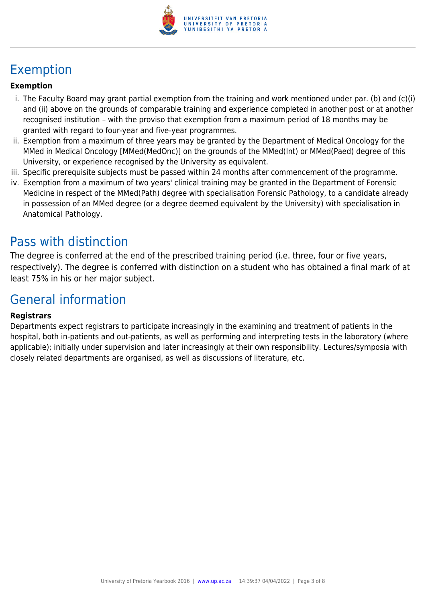

# Exemption

#### **Exemption**

- i. The Faculty Board may grant partial exemption from the training and work mentioned under par. (b) and (c)(i) and (ii) above on the grounds of comparable training and experience completed in another post or at another recognised institution – with the proviso that exemption from a maximum period of 18 months may be granted with regard to four-year and five-year programmes.
- ii. Exemption from a maximum of three years may be granted by the Department of Medical Oncology for the MMed in Medical Oncology [MMed(MedOnc)] on the grounds of the MMed(Int) or MMed(Paed) degree of this University, or experience recognised by the University as equivalent.
- iii. Specific prerequisite subjects must be passed within 24 months after commencement of the programme.
- iv. Exemption from a maximum of two years' clinical training may be granted in the Department of Forensic Medicine in respect of the MMed(Path) degree with specialisation Forensic Pathology, to a candidate already in possession of an MMed degree (or a degree deemed equivalent by the University) with specialisation in Anatomical Pathology.

### Pass with distinction

The degree is conferred at the end of the prescribed training period (i.e. three, four or five years, respectively). The degree is conferred with distinction on a student who has obtained a final mark of at least 75% in his or her major subject.

### General information

#### **Registrars**

Departments expect registrars to participate increasingly in the examining and treatment of patients in the hospital, both in-patients and out-patients, as well as performing and interpreting tests in the laboratory (where applicable); initially under supervision and later increasingly at their own responsibility. Lectures/symposia with closely related departments are organised, as well as discussions of literature, etc.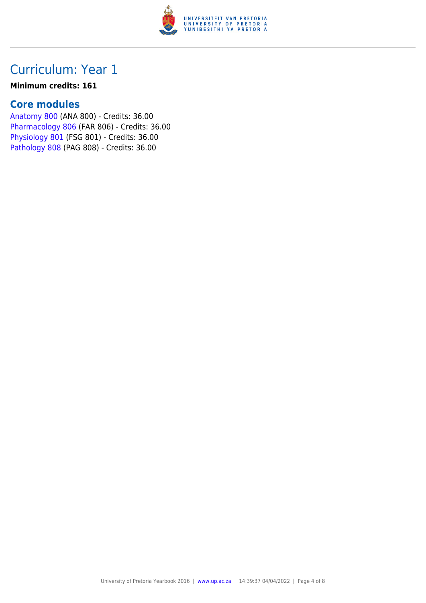

#### **Minimum credits: 161**

### **Core modules**

[Anatomy 800](https://www.up.ac.za/yearbooks/2016/modules/view/ANA 800) (ANA 800) - Credits: 36.00 [Pharmacology 806](https://www.up.ac.za/yearbooks/2016/modules/view/FAR 806) (FAR 806) - Credits: 36.00 [Physiology 801](https://www.up.ac.za/yearbooks/2016/modules/view/FSG 801) (FSG 801) - Credits: 36.00 [Pathology 808](https://www.up.ac.za/yearbooks/2016/modules/view/PAG 808) (PAG 808) - Credits: 36.00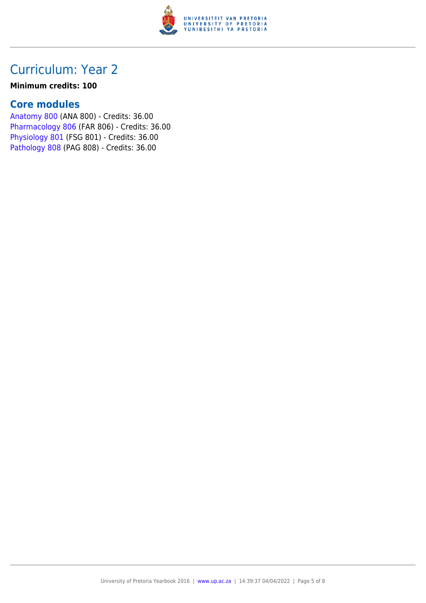

#### **Minimum credits: 100**

### **Core modules**

[Anatomy 800](https://www.up.ac.za/yearbooks/2016/modules/view/ANA 800) (ANA 800) - Credits: 36.00 [Pharmacology 806](https://www.up.ac.za/yearbooks/2016/modules/view/FAR 806) (FAR 806) - Credits: 36.00 [Physiology 801](https://www.up.ac.za/yearbooks/2016/modules/view/FSG 801) (FSG 801) - Credits: 36.00 [Pathology 808](https://www.up.ac.za/yearbooks/2016/modules/view/PAG 808) (PAG 808) - Credits: 36.00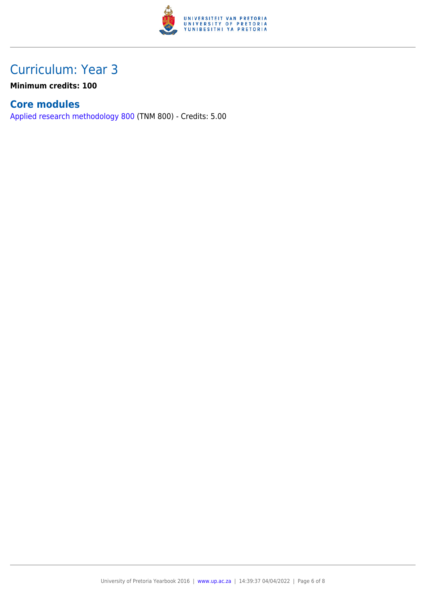

**Minimum credits: 100**

### **Core modules**

[Applied research methodology 800](https://www.up.ac.za/yearbooks/2016/modules/view/TNM 800) (TNM 800) - Credits: 5.00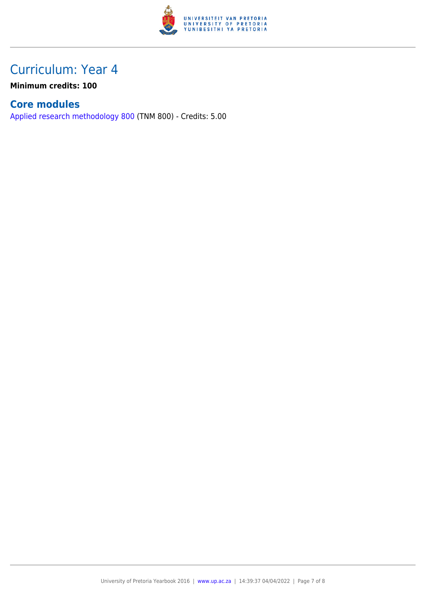

**Minimum credits: 100**

### **Core modules**

[Applied research methodology 800](https://www.up.ac.za/yearbooks/2016/modules/view/TNM 800) (TNM 800) - Credits: 5.00